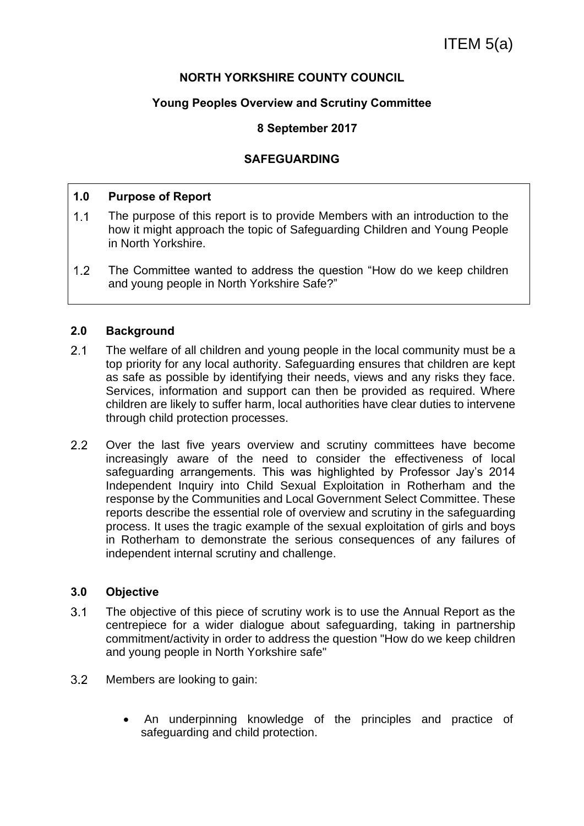# **NORTH YORKSHIRE COUNTY COUNCIL**

### **Young Peoples Overview and Scrutiny Committee**

#### **8 September 2017**

#### **SAFEGUARDING**

#### **1.0 Purpose of Report**

- $1.1$ The purpose of this report is to provide Members with an introduction to the how it might approach the topic of Safeguarding Children and Young People in North Yorkshire.
- $1.2$ The Committee wanted to address the question "How do we keep children and young people in North Yorkshire Safe?"

#### **2.0 Background**

- $21$ The welfare of all children and young people in the local community must be a top priority for any local authority. Safeguarding ensures that children are kept as safe as possible by identifying their needs, views and any risks they face. Services, information and support can then be provided as required. Where children are likely to suffer harm, local authorities have clear duties to intervene through child protection processes.
- $2.2$ Over the last five years overview and scrutiny committees have become increasingly aware of the need to consider the effectiveness of local safeguarding arrangements. This was highlighted by Professor Jay's 2014 Independent Inquiry into Child Sexual Exploitation in Rotherham and the response by the Communities and Local Government Select Committee. These reports describe the essential role of overview and scrutiny in the safeguarding process. It uses the tragic example of the sexual exploitation of girls and boys in Rotherham to demonstrate the serious consequences of any failures of independent internal scrutiny and challenge.

#### **3.0 Objective**

- $3.1$ The objective of this piece of scrutiny work is to use the Annual Report as the centrepiece for a wider dialogue about safeguarding, taking in partnership commitment/activity in order to address the question "How do we keep children and young people in North Yorkshire safe"
- $3.2$ Members are looking to gain:
	- An underpinning knowledge of the principles and practice of safeguarding and child protection.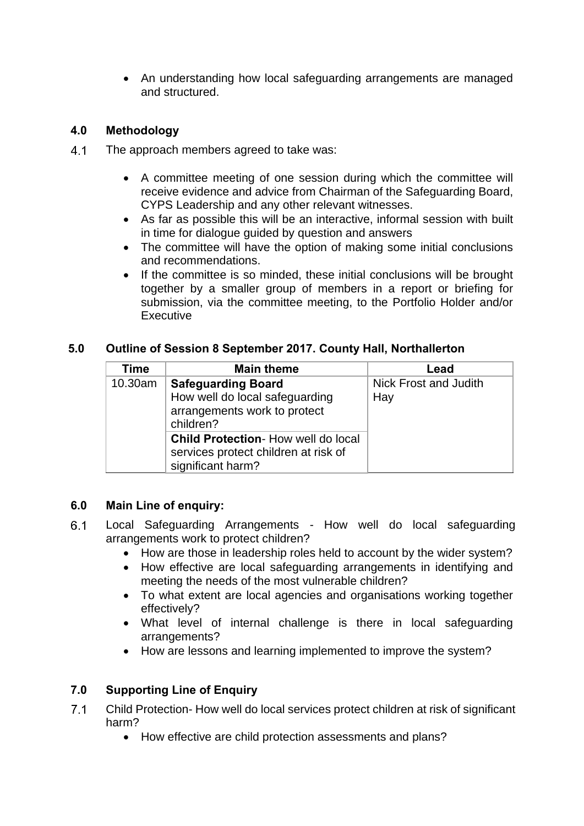An understanding how local safeguarding arrangements are managed and structured.

## **4.0 Methodology**

- $4.1$ The approach members agreed to take was:
	- A committee meeting of one session during which the committee will receive evidence and advice from Chairman of the Safeguarding Board, CYPS Leadership and any other relevant witnesses.
	- As far as possible this will be an interactive, informal session with built in time for dialogue guided by question and answers
	- The committee will have the option of making some initial conclusions and recommendations.
	- If the committee is so minded, these initial conclusions will be brought together by a smaller group of members in a report or briefing for submission, via the committee meeting, to the Portfolio Holder and/or Executive

## **5.0 Outline of Session 8 September 2017. County Hall, Northallerton**

| Time    | <b>Main theme</b>                                                                                        | Lead                                |
|---------|----------------------------------------------------------------------------------------------------------|-------------------------------------|
| 10.30am | <b>Safeguarding Board</b><br>How well do local safeguarding<br>arrangements work to protect<br>children? | <b>Nick Frost and Judith</b><br>Hay |
|         | <b>Child Protection-How well do local</b><br>services protect children at risk of<br>significant harm?   |                                     |

# **6.0 Main Line of enquiry:**

- $6.1$ Local Safeguarding Arrangements - How well do local safeguarding arrangements work to protect children?
	- How are those in leadership roles held to account by the wider system?
	- How effective are local safeguarding arrangements in identifying and meeting the needs of the most vulnerable children?
	- To what extent are local agencies and organisations working together effectively?
	- What level of internal challenge is there in local safeguarding arrangements?
	- How are lessons and learning implemented to improve the system?

# **7.0 Supporting Line of Enquiry**

- $7.1$ Child Protection- How well do local services protect children at risk of significant harm?
	- How effective are child protection assessments and plans?